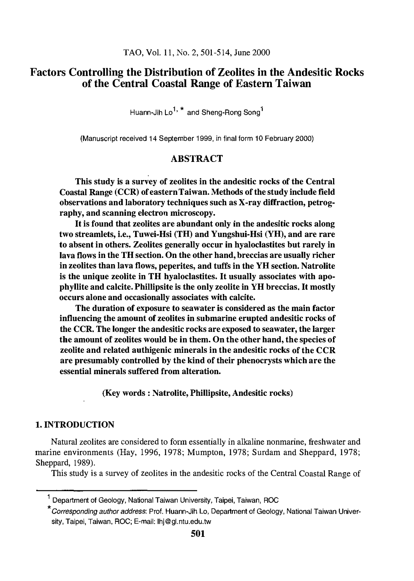# Factors Controlling the Distribution of Zeolites in the Andesitic Rocks of the Central Coastal Range of Eastern Taiwan

Huann-Jih Lo<sup>1, \*</sup> and Sheng-Rong Song<sup>1</sup>

(Manuscript received 14 September 1999, in final form 10 February 2000)

## ABSTRACT

This study is a survey of zeolites in the andesitic rocks of the Central Coastal Range (CCR) of eastern Taiwan. Methods of the study include field observations and laboratory techniques such as X-ray diffraction, petrography, and scanning electron microscopy.

It is found that zeolites are abundant only in the andesitic rocks along two streamlets, i.e., Tuwei-Hsi (TH) and Yungshui-Hsi (YH), and are rare to absent in others. Zeolites generally occur in hyaloclastites but rarely in lava flows in the TH section. On the other hand, breccias are usually richer in zeolites than lava flows, peperites, and tuffs in the YH section. Natrolite is the unique zeolite in TH hyaloclastites. It usually associates with apophyllite and calcite. Phillipsite is the only zeolite in YH breccias. It mostly occurs alone and occasionally associates with calcite.

The duration of exposure to seawater is considered as the main factor influencing the amount of zeolites in submarine erupted andesitic rocks of the CCR. The longer the andesitic rocks are exposed to seawater, the larger the amount of zeolites would be in them. On the other hand, the species of zeolite and related authigenic minerals in the andesitic rocks of the CCR are presumably controlled by the kind of their phenocrysts which are the essential minerals suffered from alteration.

(Key words: Natrolite, Phillipsite, Andesitic rocks)

#### 1. INTRODUCTION

Natural zeolites are considered to form essentially in alkaline nonmarine, freshwater and marine environments (Hay, 1996, 1978; Mumpton, 1978; Surdam and Sheppard, 1978; Sheppard, 1989).

This study is a survey of zeolites in the andesitic rocks of the Central Coastal Range of

<sup>1</sup> Department of Geology, National Taiwan University, Taipei, Taiwan, ROC

<sup>\*</sup> Corresponding author address: Prof. Huann-Jih Lo, Department of Geology, National Taiwan University, Taipei, Taiwan, ROC; E-mail: lhj@gl.ntu.edu.tw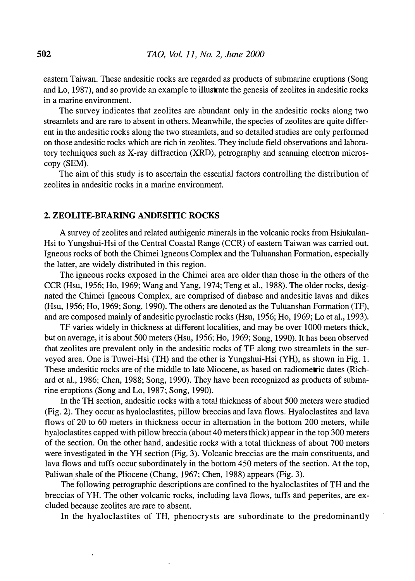eastern Taiwan. These andesitic rocks are regarded as products of submarine eruptions (Song and Lo, 1987), and so provide an example to illustrate the genesis of zeolites in andesitic rocks in a marine environment.

The survey indicates that zeolites are abundant only in the andesitic rocks along two streamlets and are rare to absent in others. Meanwhile, the species of zeolites are quite different in the andesitic rocks along the two streamlets, and so detailed studies are only performed on those andesitic rocks which are rich in zeolites. They include field observations and laboratory techniques such as X-ray diffraction (XRD), petrography and scanning electron microscopy (SEM).

The aim of this study is to ascertain the essential factors controlling the distribution of zeolites in andesitic rocks in a marine environment.

## 2. ZEOLITE-BEARING ANDESITIC ROCKS

A survey of zeolites and related authigenic minerals in the volcanic rocks from Hsiukulan-Hsi to Yungshui-Hsi of the Central Coastal Range (CCR) of eastern Taiwan was carried out. Igneous rocks of both the Chimei Igneous Complex and the Tuluanshan Formation, especially the latter, are widely distributed in this region.

The igneous rocks exposed in the Chimei area are older than those in the others of the CCR (Hsu, 1956; Ho, 1969; Wang and Yang, 1974; Teng et al., 1988). The older rocks, designated the Chimei Igneous Complex, are comprised of diabase and andesitic lavas and dikes (Hsu, 1956; Ho, 1969; Song, 1990). The others are denoted as the Tuluanshan Formation (TF), and are composed mainly of andesitic pyroclastic rocks (Hsu, 1956; Ho, 1969; Lo et al., 1993).

TF varies widely in thickness at different localities, and may be over 1000 meters thick, but on average, it is about 500 meters (Hsu, 1956; Ho, 1969; Song, 1990). It has been observed that zeolites are prevalent only in the andesitic rocks of TF along two streamlets in the surveyed area. One is Tuwei-Hsi (TH) and the other is Yungshui-Hsi (YH), as shown in Fig. 1. These andesitic rocks are of the middle to late Miocene, as based on radiometric dates (Richard et al., 1986; Chen, 1988; Song, 1990). They have been recognized as products of submarine eruptions (Song and Lo, 1987; Song, 1990).

In the TH section, andesitic rocks with a total thickness of about 500 meters were studied (Fig. 2). They occur as hyaloclastites, pillow breccias and lava flows. Hyaloclastites and lava flows of 20 to 60 meters in thickness occur in alternation in the bottom 200 meters, while hyaloclastites capped with pillow breccia (about 40 meters thick) appear in the top 300 meters of the section. On the other hand, andesitic rocks with a total thickness of about 700 meters were investigated in the YH section (Fig. 3). Volcanic breccias are the main constituents, and lava flows and tuffs occur subordinately in the bottom 450 meters of the section. At the top, Paliwan shale of the Pliocene (Chang, 1967; Chen, 1988) appears (Fig. 3).

The following petrographic descriptions are confined to the hyaloclastites of TH and the breccias of YH. The other volcanic rocks, including lava flows, tuffs and peperites, are excluded because zeolites are rare to absent

In the hyaloclastites of TH, phenocrysts are subordinate to the predominantly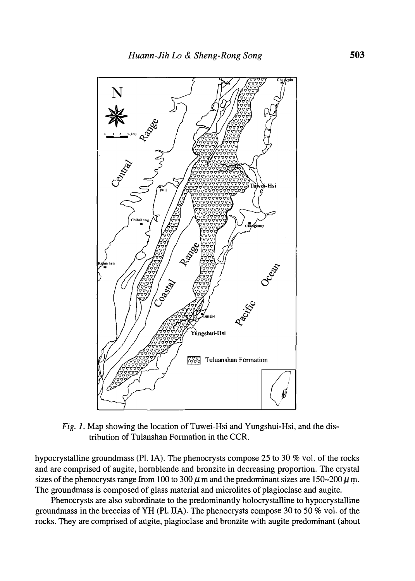

Fig. 1. Map showing the location of Tuwei-Hsi and Yungshui-Hsi, and the distribution of Tulanshan Formation in the CCR.

hypocrystalline groundmass (PL IA). The phenocrysts compose 25 to 30 % vol. of the rocks and are comprised of augite, hornblende and bronzite in decreasing proportion. The crystal sizes of the phenocrysts range from 100 to 300  $\mu$  m and the predominant sizes are 150~200  $\mu$  m. The ground mass is composed of glass material and microlites of plagioclase and augite.

Phenocrysts are also subordinate to the predominantly holocrystalline to hypocrystalline groundmass in the breccias of YH (Pl. IIA). The phenocrysts compose 30 to 50  $\%$  vol. of the rocks. They are comprised of augite, plagioclase and bronzite with augite predominant (about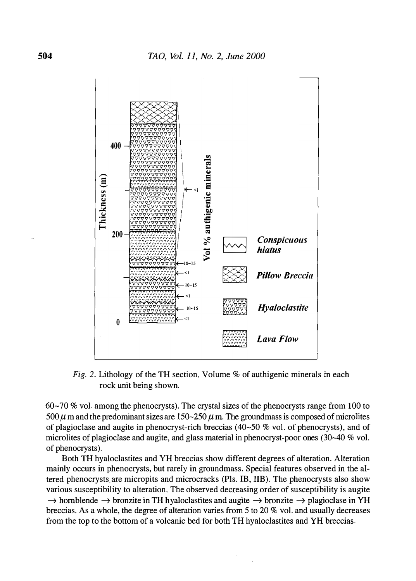

Fig. 2. Lithology of the TH section. Volume  $%$  of authigenic minerals in each rock unit being shown.

60-70 % vol. among the phenocrysts). The crystal sizes of the phenocrysts range from 100 to 500  $\mu$  m and the predominant sizes are 150~250  $\mu$  m. The groundmass is composed of microlites of plagioclase and augite in phenocryst-rich breccias  $(40-50\%$  vol. of phenocrysts), and of microlites of plagioclase and augite, and glass material in phenocryst-poor ones (30-40 % vol. of phenocrysts).

Both TH hyaloclastites and YH breccias show different degrees of alteration. Alteration mainly occurs in phenocrysts, but rarely in groundmass. Special features observed in the altered phenocrysts are micropits and microcracks (Pls. IB, IIB). The phenocrysts also show various susceptibility to alteration. The observed decreasing order of susceptibility is augite  $\rightarrow$  hornblende  $\rightarrow$  bronzite in TH hyaloclastites and augite  $\rightarrow$  bronzite  $\rightarrow$  plagioclase in YH breccias. As a whole, the degree of alteration varies from 5 to 20 % vol. and usually decreases from the top to the bottom of a volcanic bed for both TH hyaloclastites and YH breccias.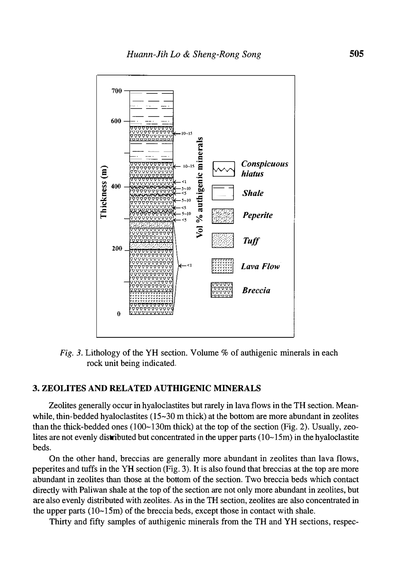

Fig. 3. Lithology of the YH section. Volume  $%$  of authigenic minerals in each rock unit being indicated.

## 3. ZEOLITES AND RELATED AUTHIGENIC MINERALS

Zeolites generally occur in hyaloclastites but rarely in lava flows in the TH section. Meanwhile, thin-bedded hyaloclastites  $(15-30 \text{ m thick})$  at the bottom are more abundant in zeolites than the thick-bedded ones  $(100-130m)$  thick) at the top of the section (Fig. 2). Usually, zeolites are not evenly distributed but concentrated in the upper parts  $(10-15m)$  in the hyaloclastite beds.

On the other hand, breccias are generally more abundant in zeolites than lava flows, peperites and tuffs in the YH section (Fig. 3). It is also found that breccias at the top are more abundant in zeolites than those at the bottom of the section. Two breccia beds which contact directly with Paliwan shale at the top of the section are not only more abundant in zeolites, but are also evenly distributed with zeolites. As in the TH section, zeolites are also concentrated in the upper parts  $(10-15m)$  of the breccia beds, except those in contact with shale.

Thirty and fifty samples of authigenic minerals from the TH and YH sections, respec-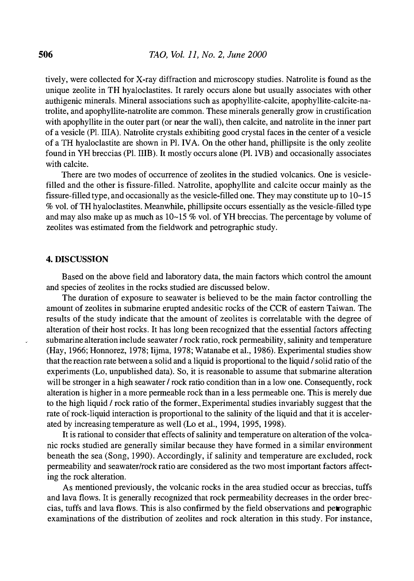tively, were collected for X-ray diffraction and microscopy studies. Natrolite is found as the unique zeolite in TH hyaloclastites. It rarely occurs alone but usually associates with other authigenic minerals. Mineral associations such as apophyllite-calcite, apophyllite-calcite-natrolite, and apophyllite-natrolite are common. These minerals generally grow in crustification with apophyllite in the outer part (or near the wall), then calcite, and natrolite in the inner part of a vesicle (Pl. IIIA). Natrolite crystals exhibiting good crystal faces in the center of a vesicle of a TH hyaloclastite are shown in Pl. IV A. On the other hand, phillipsite is the only zeolite found in YH breccias (Pl. IIIB). It mostly occurs alone (PL IVB) and occasionally associates with calcite.

There are two modes of occurrence of zeolites in the studied volcanics. One is vesiclefilled and the other is fissure-filled. Natrolite, apophyllite and calcite occur mainly as the fissure-filled type, and occasionally as the vesicle-filled one. They may constitute up to 10~15 % vol. of TH hyaloclastites. Meanwhile, phillipsite occurs essentially as the vesicle-filled type and may also make up as much as  $10-15\%$  vol. of YH breccias. The percentage by volume of zeolites was estimated from the fieldwork and petrographic study.

## 4. DISCUSSION

Based on the above field and laboratory data, the main factors which control the amount and species of zeolites in the rocks studied are discussed below.

The duration of exposure to seawater is believed to be the main factor controlling the amount of zeolites in submarine erupted andesitic rocks of the CCR of eastern Taiwan. The results of the study indicate that the amount of zeolites is correlatable with the degree of alteration of their host rocks. It has long been recognized that the essential factors affecting submarine alteration include seawater *I* rock ratio, rock permeability, salinity and temperature (Hay, 1966; Honnorez, 1978; Iijma, 1978; Watanabe et al., 1986). Experimental studies show that the reaction rate between a solid and a liquid is proportional to the liquid / solid ratio of the experiments (Lo, unpublished data). So, it is reasonable to assume that submarine alteration will be stronger in a high seawater  $\ell$  rock ratio condition than in a low one. Consequently, rock alteration is higher in a more permeable rock than in a less permeable one. This is merely due to the high liquid *l* rock ratio of the former. Experimental studies invariably suggest that the rate of rock-liquid interaction is proportional to the salinity of the liquid and that it is accelerated by increasing temperature as well (Lo et al., 1994, 1995, 1998).

It is rational to consider that effects of salinity and temperature on alteration of the volcanic rocks studied are generally similar because they have formed in a similar environment beneath the sea (Song, 1990). Accordingly, if salinity and temperature are excluded, rock permeability and seawater/rock ratio are considered as the two most important factors affecting the rock alteration.

As mentioned previously, the volcanic rocks in the area studied occur as breccias, tuffs and lava flows. It is generally recognized that rock permeability decreases in the order breccias, tuffs and lava flows. This is also confirmed by the field observations and petrographic examinations of the distribution of zeolites and rock alteration in this study. For instance,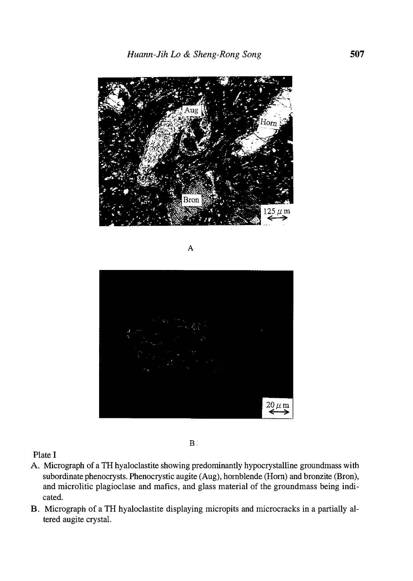

A



 $\mathbf{B}^+$ 

Plate I

- A. Micrograph of a TH hyaloclastite showing predominantly hypocrystalline groundmass with subordinate phenocrysts. Phenocrystic augite (Aug), hornblende (Hom) and bronzite (Bron), and microlitic plagioclase and mafics, and glass material of the groundmass being indicated.
- B. Micrograph of a TH hyaloclastite displaying micropits and microcracks in a partially altered augite crystal.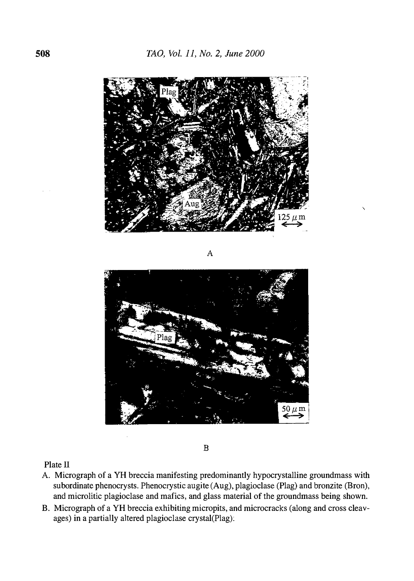

A



B

Plate II

- A Micrograph of a YH breccia manifesting predominantly hypocrystalline groundmass with subordinate phenocrysts. Phenocrystic augite (Aug), plagioclase (Plag) and bronzite (Bron), and microlitic plagioclase and mafics, and glass material of the groundmass being shown.
- B. Micrograph of a YH breccia exhibiting micropits, and microcracks (along and cross cleavages) in a partially altered plagioclase crystal(Plag):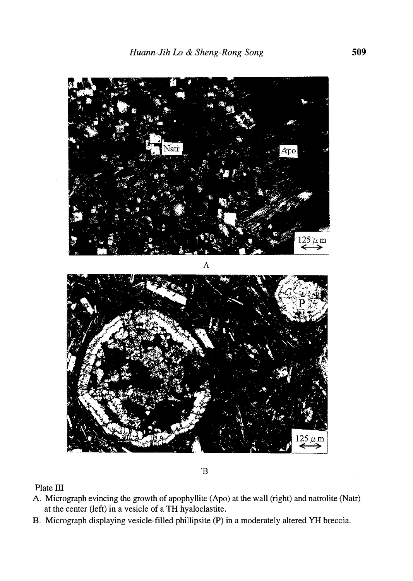

 $\,$  B

Plate III

- A. Micrograph evincing the growth of apophyllite (Apo) at the wall (right) and natrolite (Natr) at the center (left) in a vesicle of a TH hyaloclastite.
- B. Micrograph displaying vesicle-filled phillipsite (P) in a moderately altered YH breccia.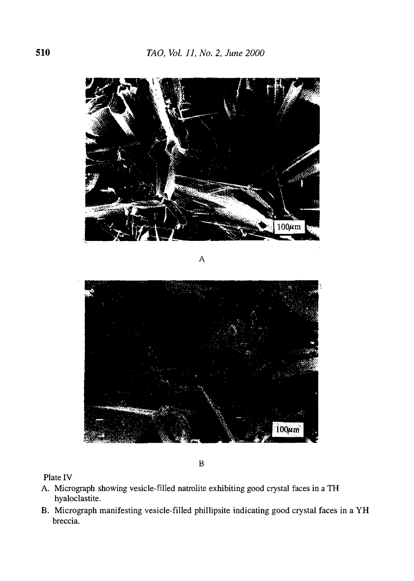

A



B

Plate IV

- A. Micrograph showing vesicle-filled natrolite exhibiting good crystal faces in a TH hyaloclastite.
- B. Micrograph manifesting vesicle-filled phillipsite indicating good crystal faces in a YH breccia.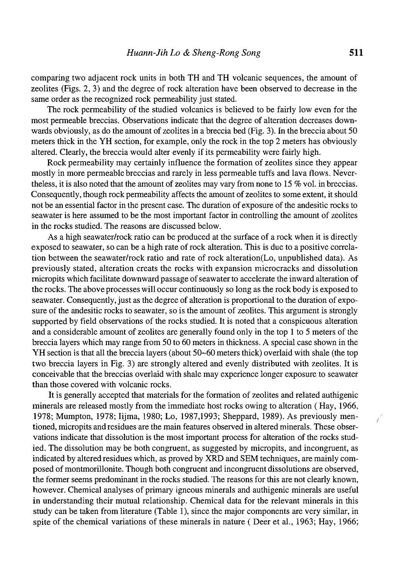comparing two adjacent rock units in both TH and TH volcanic sequences, the amount of zeolites (Figs. 2, 3) and the degree of rock alteration have been observed to decrease in the same order as the recognized rock permeability just stated.

The rock permeability of the studied volcanics is believed to be fairly low even for the most permeable breccias. Observations indicate that the degree of alteration decreases downwards obviously, as do the amount of zeolites in a breccia bed (Fig. 3). In the breccia about 50 meters thick in the YH section, for example, only the rock in the top 2 meters has obviously altered. Clearly, the breccia would alter evenly if its permeability were fairly high.

Rock permeability may certainly influence the formation of zeolites since they appear mostly in more permeable breccias and rarely in less permeable tuffs and lava flows. Nevertheless, it is also noted that the amount of zeolites may vary from none to 15 % vol. in breccias. Consequently, though rock permeability affects the amount of zeolites to some extent, it should not be an essential factor in the present case. The duration of exposure of the andesitic rocks to seawater is here assumed to be the most important factor in controlling the amount of zeolites in the rocks studied. The reasons are discussed below.

As a high seawater/rock ratio can be produced at the surface of a rock when it is directly exposed to seawater, so can be a high rate of rock alteration. This is due to a positive correlation between the seawater/rock ratio and rate of rock alteration(Lo, unpublished data). As previously stated, alteration creats the rocks with expansion microcracks and dissolution micropits which facilitate downward passage of seawater to accelerate the inward alteration of the rocks. The above processes will occur continuously so long as the rock body is exposed to seawater. Consequently, just as the degree of alteration is proportional to the duration of exposure of the andesitic rocks to seawater, so is the amount of zeolites. This argument is strongly supported by field observations of the rocks studied. It is noted that a conspicuous alteration and a considerable amount of zeolites are generally found only in the top 1 to 5 meters of the breccia layers which may range from 50 to 60 meters in thickness. A special case shown in the YH section is that all the breccia layers (about 50-60 meters thick) overlaid with shale (the top two breccia layers in Fig. 3) are strongly altered and evenly distributed with zeolites. It is conceivable that the breccias overlaid with shale may experience longer exposure to seawater than those covered with volcanic rocks.

It is generally accepted that materials for the formation of zeolites and related authigenic minerals are released mostly from the immediate host rocks owing to alteration ( Hay, 1966, 1978; Mumpton, 1978; Iijma, 1980; Lo, 1987,1993; Sheppard, 1989). As previously mentioned, micropits and residues are the main features observed in altered minerals. These observations indicate that dissolution is the most important process for alteration of the rocks studied. The dissolution may be both congruent, as suggested by micropits, and incongruent, as indicated by altered residues which, as proved by XRD and SEM techniques, are mainly composed of montmorillonite. Though both congruent and incongruent dissolutions are observed, the former seems predominant in the rocks studied. The reasons for this are not clearly known, however. Chemical analyses of primary igneous minerals and authigenic minerals are useful in understanding their mutual relationship. Chemical data for the relevant minerals in this study can be taken from literature (Table 1), since the major components are very similar, in spite of the chemical variations of these minerals in nature (Deer et al., 1963; Hay, 1966;

 $\frac{1}{\sqrt{2}}$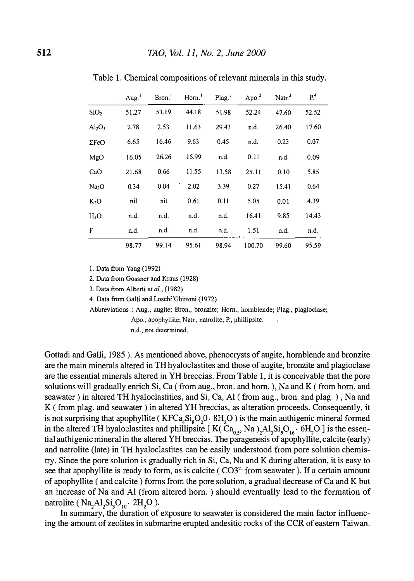|                                | Aug.  | Bron. | Horn. <sup>1</sup> | Plag. <sup>1</sup> | Apo. $2$ | Natr. $3$ | P <sup>4</sup> |
|--------------------------------|-------|-------|--------------------|--------------------|----------|-----------|----------------|
| SiO <sub>2</sub>               | 51.27 | 53.19 | 44.18              | 51.98              | 52.24    | 47.60     | 52.52          |
| Al <sub>2</sub> O <sub>3</sub> | 2.78  | 2.53  | 11.63              | 29.43              | n.d.     | 26.40     | 17.60          |
| $\Sigma$ FeO                   | 6.65  | 16.46 | 9.63               | 0.45               | n.d.     | 0.23      | 0.07           |
| MgO                            | 16.05 | 26.26 | 15.99              | n.d.               | 0.11     | n.d.      | 0.09           |
| CaO                            | 21.68 | 0.66  | 11.55              | 13.58              | 25.11    | 0.10      | 5.85           |
| Na <sub>2</sub> O              | 0.34  | 0.04  | 2.02               | 3.39               | 0.27     | 15.41     | 0.64           |
| K <sub>2</sub> O               | nil   | nil   | 0.61               | 0.11               | 5.05     | 0.01      | 4.39           |
| H <sub>2</sub> O               | n.d.  | n.d.  | n.d.               | n.d.               | 16.41    | 9.85      | 14.43          |
| F                              | n.d.  | n.d.  | n.d.               | n.d.               | 1.51     | n.d.      | n.d.           |
|                                | 98.77 | 99.14 | 95.61              | 98.94              | 100.70   | 99.60     | 95.59          |

Table 1. Chemical compositions of relevant minerals in this study.

I. Data from Yang (1992)

2. Data from Gossner and Kraus (1928)

3. Data from Alberti et al., (1982)

4. Data from Galli and Loschi Ghittoni (1972)

Abbreviations : Aug., augite; Bron., bronzite; Hom., hornblende; Plag., plagioclase;

Apo., apophyllite; Natr., natrolite; P., phillipsite.

n.d., not determined.

Gottadi and Galli, 1985 ). As mentioned above, phenocrysts of augite, hornblende and bronzite are the main minerals altered in TH hyaloclastites and those of augite, bronzite and plagioclase are the essential minerals altered in YH breccias. From Table 1, it is conceivable that the pore solutions will gradually enrich Si, Ca (from aug., bron. and horn.), Na and K (from horn. and seawater) in altered TH hyaloclastities, and Si, Ca, Al (from aug., bron. and plag. ) , Na and K (from plag. and seawater) in altered YH breccias, as alteration proceeds. Consequently, it is not surprising that apophyllite ( $KFCa<sub>4</sub>Si<sub>8</sub>O<sub>2</sub>O· 8H<sub>2</sub>O$ ) is the main authigenic mineral formed in the altered TH hyaloclastites and phillipsite [  $K(Ca_{0.5}, Na)$ , $Al_3Si_5O_{16}$  •  $6H_2O$  ] is the essential authigenic mineral in the altered YH breccias. The paragenesis of apophyllite, calcite (early) and natrolite (late) in TH hyaloclastites can be easily understood from pore solution chemistry. Since the pore solution is gradually rich in Si, Ca, Na and K during alteration, it is easy to see that apophyllite is ready to form, as is calcite ( $CO3<sup>2</sup>$  from seawater). If a certain amount of apophyllite ( and calcite ) forms from the pore solution, a gradual decrease of Ca and K but an increase of Na and Al (from altered horn. ) should eventually lead to the formation of natrolite (  $Na<sub>2</sub>Al<sub>2</sub>Si<sub>3</sub>O<sub>10</sub>·2H<sub>2</sub>O$  ).

In summary, the duration of exposure to seawater is considered the main factor influencing the amount of zeolites in submarine erupted andesitic rocks of the CCR of eastern Taiwan.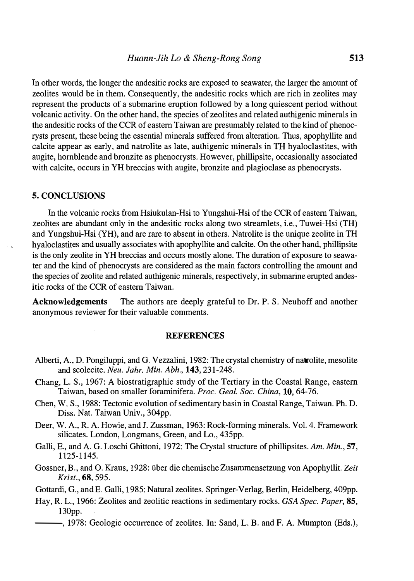In other words, the longer the andesitic rocks are exposed to seawater, the larger the amount of zeolites would be in them. Consequently, the andesitic rocks which are rich in zeolites may represent the products of a submarine eruption followed by a long quiescent period without volcanic activity. On the other hand, the species of zeolites and related authigenic minerals in the andesitic rocks of the CCR of eastern Taiwan are presumably related to the kind of phenocrysts present, these being the essential minerals suffered from alteration. Thus, apophyllite and calcite appear as early, and natrolite as late, authigenic minerals in TH hyaloclastites, with augite, hornblende and bronzite as phenocrysts. However, phillipsite, occasionally associated with calcite, occurs in YH breccias with augite, bronzite and plagioclase as phenocrysts.

#### 5. CONCLUSIONS

In the volcanic rocks from Hsiukulan-Hsi to Yungshui-Hsi of the CCR of eastern Taiwan, zeolites are abundant only in the andesitic rocks along two streamlets, i.e., Tuwei-Hsi (TH) and Yungshui-Hsi (YH), and are rare to absent in others. Natrolite is the unique zeolite in TH hyaloclastites and usually associates with apophyllite and calcite. On the other hand, phillipsite is the only zeolite in YH breccias and occurs mostly alone. The duration of exposure to seawater and the kind of phenocrysts are considered as the main factors controlling the amount and the species of zeolite and related authigenic minerals, respectively, in submarine erupted andesitic rocks of the CCR of eastern Taiwan.

Acknowledgements The authors are deeply grateful to Dr. P. S. Neuhoff and another anonymous reviewer for their valuable coniments.

#### **REFERENCES**

- Alberti, A., D. Pongiluppi, and G. Vezzalini, 1982: The crystal chemistry of natrolite, mesolite and scolecite. Neu. Jahr. Min. Abh., 143, 231-248.
- Chang, L. S., 1967: A biostratigraphic study of the Tertiary in the Coastal Range, eastern Taiwan, based on smaller foraminifera. Proc. Geol. Soc. China, 10, 64-76.
- Chen, W. S., 1988: Tectonic evolution of sedimentary basin in Coastal Range, Taiwan. Ph. D. Diss. Nat. Taiwan Univ., 304pp.
- Deer, W. A., R. A. Howie, and J. Zussman, 1963: Rock-forming minerals. Vol. 4. Framework silicates. London, Longmans, Green, and Lo., 435pp.
- Galli, E., and A. G. Loschi Ghittoni, 1972: The Crystal structure of phillipsites. Am. Min., 57, 1125-1 145.
- Gossner, B., and O. Kraus, 1928: über die chemische Zusammensetzung von Apophyllit. Zeit Krist., 68, 595.
- Gottardi, G., and E. Galli, 1985: Natural zeolites. Springer-Verlag, Berlin, Heidelberg, 409pp.
- Hay, R. L., 1966: Zeolites and zeolitic reactions in sedimentary rocks. GSA Spec. Paper, 85, 130pp.
- --- , 1978: Geologic occurrence of zeolites. In: Sand, L.B. and F. A. Mumpton (Eds.),